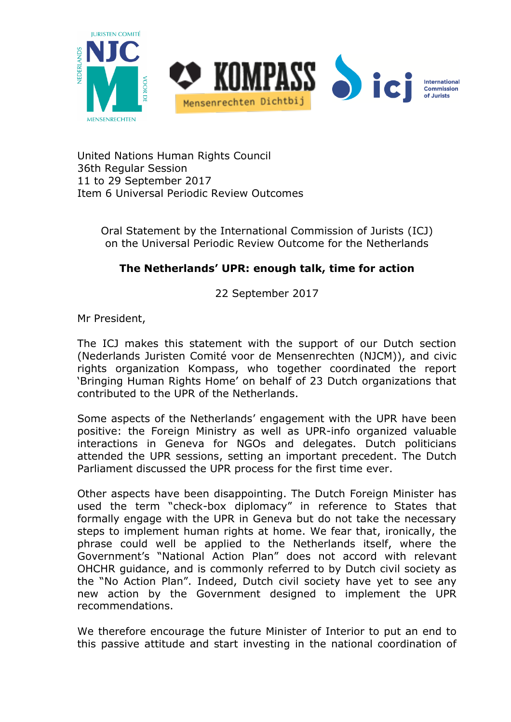

United Nations Human Rights Council 36th Regular Session 11 to 29 September 2017 Item 6 Universal Periodic Review Outcomes

> Oral Statement by the International Commission of Jurists (ICJ) on the Universal Periodic Review Outcome for the Netherlands

## **The Netherlands' UPR: enough talk, time for action**

22 September 2017

Mr President,

The ICJ makes this statement with the support of our Dutch section (Nederlands Juristen Comité voor de Mensenrechten (NJCM)), and civic rights organization Kompass, who together coordinated the report 'Bringing Human Rights Home' on behalf of 23 Dutch organizations that contributed to the UPR of the Netherlands.

Some aspects of the Netherlands' engagement with the UPR have been positive: the Foreign Ministry as well as UPR-info organized valuable interactions in Geneva for NGOs and delegates. Dutch politicians attended the UPR sessions, setting an important precedent. The Dutch Parliament discussed the UPR process for the first time ever.

Other aspects have been disappointing. The Dutch Foreign Minister has used the term "check-box diplomacy" in reference to States that formally engage with the UPR in Geneva but do not take the necessary steps to implement human rights at home. We fear that, ironically, the phrase could well be applied to the Netherlands itself, where the Government's "National Action Plan" does not accord with relevant OHCHR guidance, and is commonly referred to by Dutch civil society as the "No Action Plan". Indeed, Dutch civil society have yet to see any new action by the Government designed to implement the UPR recommendations.

We therefore encourage the future Minister of Interior to put an end to this passive attitude and start investing in the national coordination of